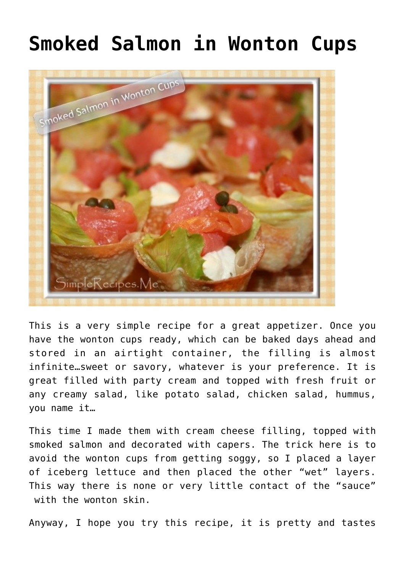## **[Smoked Salmon in Wonton Cups](https://coloryourrecipes.com/recipes/smoked-salmon-in-wonton-cups/)**



This is a very simple recipe for a great appetizer. Once you have the wonton cups ready, which can be baked days ahead and stored in an airtight container, the filling is almost infinite…sweet or savory, whatever is your preference. It is great filled with party cream and topped with fresh fruit or any creamy salad, like potato salad, chicken salad, hummus, you name it…

This time I made them with cream cheese filling, topped with smoked salmon and decorated with capers. The trick here is to avoid the wonton cups from getting soggy, so I placed a layer of iceberg lettuce and then placed the other "wet" layers. This way there is none or very little contact of the "sauce" with the wonton skin.

Anyway, I hope you try this recipe, it is pretty and tastes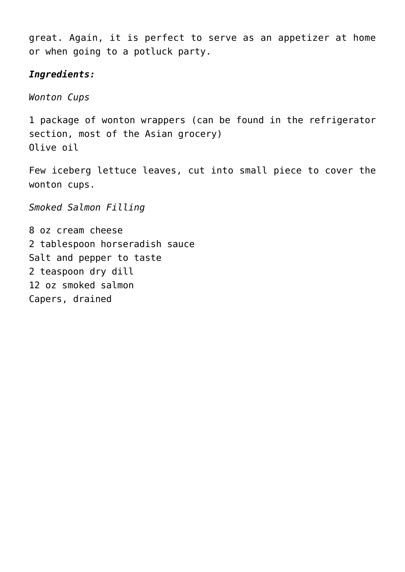great. Again, it is perfect to serve as an appetizer at home or when going to a potluck party.

## *Ingredients:*

*Wonton Cups*

1 package of wonton wrappers (can be found in the refrigerator section, most of the Asian grocery) Olive oil

Few iceberg lettuce leaves, cut into small piece to cover the wonton cups.

*Smoked Salmon Filling*

8 oz cream cheese 2 tablespoon horseradish sauce Salt and pepper to taste 2 teaspoon dry dill 12 oz smoked salmon Capers, drained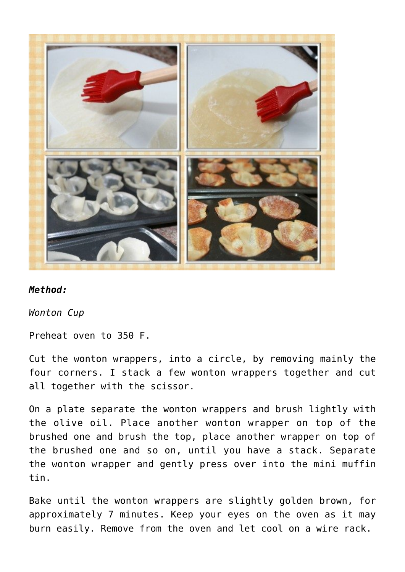

## *Method:*

*Wonton Cup*

Preheat oven to 350 F.

Cut the wonton wrappers, into a circle, by removing mainly the four corners. I stack a few wonton wrappers together and cut all together with the scissor.

On a plate separate the wonton wrappers and brush lightly with the olive oil. Place another wonton wrapper on top of the brushed one and brush the top, place another wrapper on top of the brushed one and so on, until you have a stack. Separate the wonton wrapper and gently press over into the mini muffin tin.

Bake until the wonton wrappers are slightly golden brown, for approximately 7 minutes. Keep your eyes on the oven as it may burn easily. Remove from the oven and let cool on a wire rack.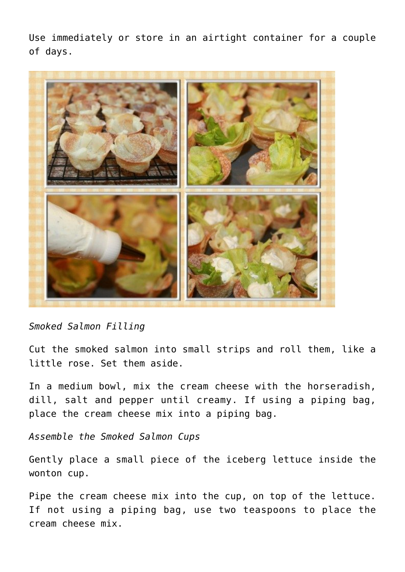Use immediately or store in an airtight container for a couple of days.



*Smoked Salmon Filling*

Cut the smoked salmon into small strips and roll them, like a little rose. Set them aside.

In a medium bowl, mix the cream cheese with the horseradish, dill, salt and pepper until creamy. If using a piping bag, place the cream cheese mix into a piping bag.

*Assemble the Smoked Salmon Cups*

Gently place a small piece of the iceberg lettuce inside the wonton cup.

Pipe the cream cheese mix into the cup, on top of the lettuce. If not using a piping bag, use two teaspoons to place the cream cheese mix.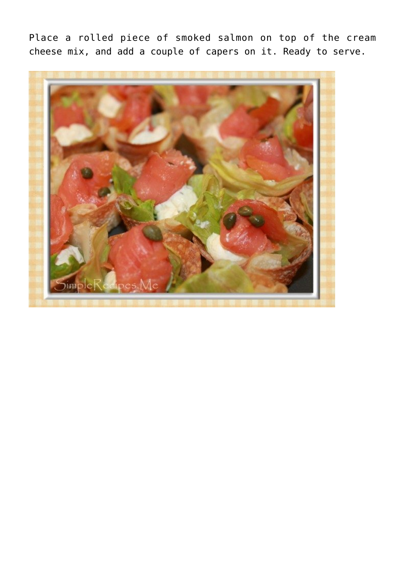Place a rolled piece of smoked salmon on top of the cream cheese mix, and add a couple of capers on it. Ready to serve.

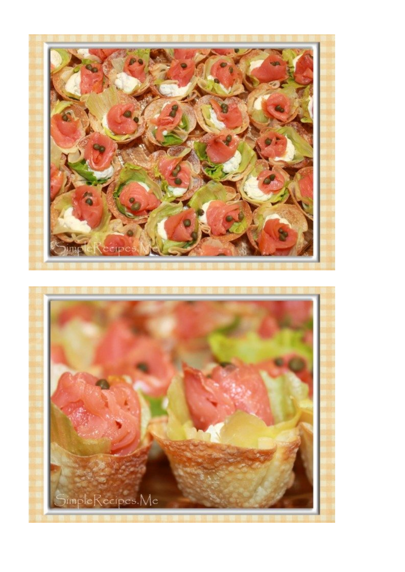